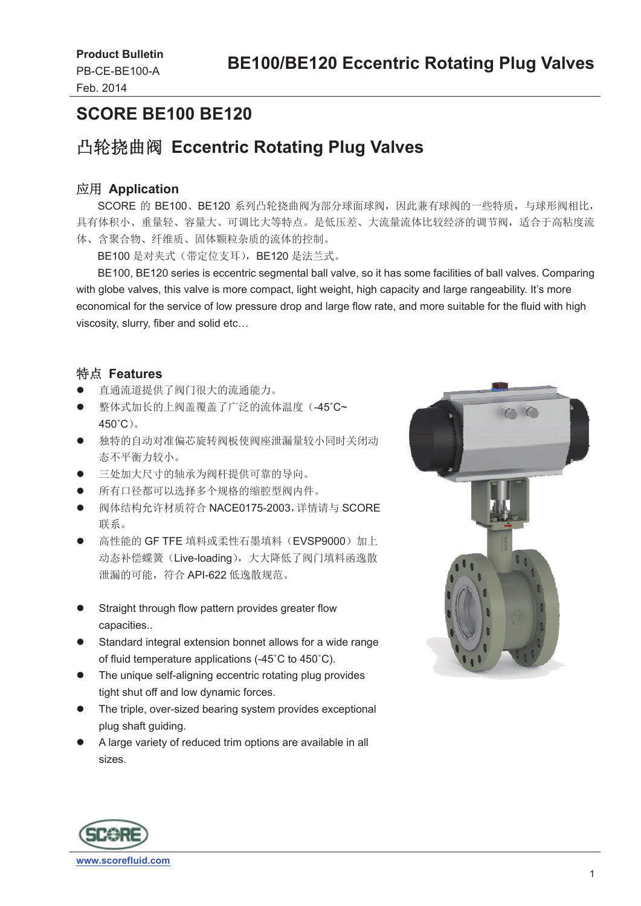### **SCORE BE100 BE120**

# ࠨ䖞ᥐᴢ䰰 **Eccentric Rotating Plug Valves**

#### ᓄ⭘ **Application**

SCORE 的 BE100、BE120 系列凸轮挠曲阀为部分球面球阀,因此兼有球阀的一些特质,与球形阀相比, 具有体积小、重量轻、容量大、可调比大等特点。是低压差、大流量流体比较经济的调节阀,适合于高粘度流 体、含聚合物、纤维质、固体颗粒杂质的流体的控制。

BE100 是对夹式(带定位支耳), BE120 是法兰式。

 BE100, BE120 series is eccentric segmental ball valve, so it has some facilities of ball valves. Comparing with globe valves, this valve is more compact, light weight, high capacity and large rangeability. It's more economical for the service of low pressure drop and large flow rate, and more suitable for the fluid with high viscosity, slurry, fiber and solid etc…

#### ⢩⛩ **Features**

- 直通流道提供了阀门很大的流通能力。
- 整体式加长的上阀盖覆盖了广泛的流体温度(-45°C~  $450^{\circ}$ C $)$ <sub>c</sub>
- 独特的自动对准偏芯旋转阀板使阀座泄漏量较小同时关闭动 态不平衡力较小。
- 三处加大尺寸的轴承为阀杆提供可靠的导向。
- 所有口径都可以洗择多个规格的缩腔型阀内件。
- 阀体结构允许材质符合 NACE0175-2003, 详情请与 SCORE 联系。
- 高性能的 GF TFE 填料或柔性石墨填料 (EVSP9000) 加上 动态补偿蝶簧 (Live-loading), 大大降低了阀门填料函逸散 洲漏的可能, 符合 API-622 低逸散规范。
- Straight through flow pattern provides greater flow capacities..
- Standard integral extension bonnet allows for a wide range of fluid temperature applications (-45˚C to 450˚C).
- The unique self-aligning eccentric rotating plug provides tight shut off and low dynamic forces.
- The triple, over-sized bearing system provides exceptional plug shaft guiding.
- A large variety of reduced trim options are available in all sizes.



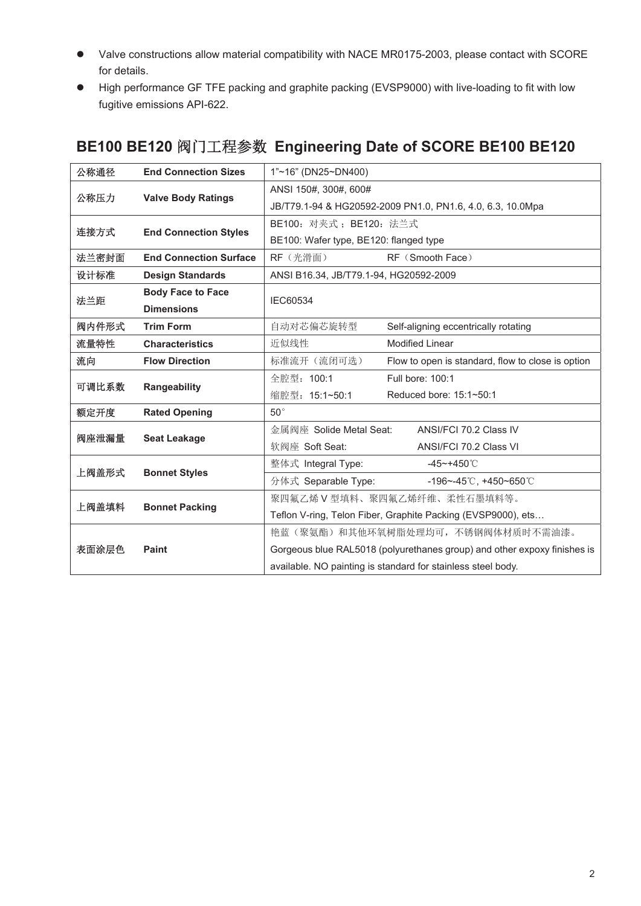- Valve constructions allow material compatibility with NACE MR0175-2003, please contact with SCORE for details.
- High performance GF TFE packing and graphite packing (EVSP9000) with live-loading to fit with low fugitive emissions API-622.

| 公称通径  | <b>End Connection Sizes</b>   | 1"~16" (DN25~DN400)                                                      |                                                   |  |  |  |
|-------|-------------------------------|--------------------------------------------------------------------------|---------------------------------------------------|--|--|--|
|       |                               | ANSI 150#, 300#, 600#                                                    |                                                   |  |  |  |
| 公称压力  | <b>Valve Body Ratings</b>     | JB/T79.1-94 & HG20592-2009 PN1.0, PN1.6, 4.0, 6.3, 10.0Mpa               |                                                   |  |  |  |
|       |                               | BE100: 对夹式; BE120: 法兰式                                                   |                                                   |  |  |  |
| 连接方式  | <b>End Connection Styles</b>  | BE100: Wafer type, BE120: flanged type                                   |                                                   |  |  |  |
| 法兰密封面 | <b>End Connection Surface</b> | RF (光滑面)<br>RF (Smooth Face)                                             |                                                   |  |  |  |
| 设计标准  | <b>Design Standards</b>       | ANSI B16.34, JB/T79.1-94, HG20592-2009                                   |                                                   |  |  |  |
|       | <b>Body Face to Face</b>      | <b>IEC60534</b>                                                          |                                                   |  |  |  |
| 法兰距   | <b>Dimensions</b>             |                                                                          |                                                   |  |  |  |
| 阀内件形式 | <b>Trim Form</b>              | 自动对芯偏芯旋转型                                                                | Self-aligning eccentrically rotating              |  |  |  |
| 流量特性  | <b>Characteristics</b>        | 近似线性                                                                     | <b>Modified Linear</b>                            |  |  |  |
| 流向    | <b>Flow Direction</b>         | 标准流开(流闭可选)                                                               | Flow to open is standard, flow to close is option |  |  |  |
|       |                               | 全腔型: 100:1                                                               | Full bore: 100:1                                  |  |  |  |
| 可调比系数 | Rangeability                  | 缩腔型: 15:1~50:1                                                           | Reduced bore: 15:1~50:1                           |  |  |  |
| 额定开度  | <b>Rated Opening</b>          | $50^{\circ}$                                                             |                                                   |  |  |  |
|       |                               | 金属阀座 Solide Metal Seat:                                                  | ANSI/FCI 70.2 Class IV                            |  |  |  |
| 阀座泄漏量 | <b>Seat Leakage</b>           | 软阀座 Soft Seat:                                                           | ANSI/FCI 70.2 Class VI                            |  |  |  |
| 上阀盖形式 | <b>Bonnet Styles</b>          | 整体式 Integral Type:                                                       | $-45 - +450^{\circ}$ C                            |  |  |  |
|       |                               | 分体式 Separable Type:                                                      | -196~-45°C, +450~650°C                            |  |  |  |
| 上阀盖填料 |                               | 聚四氟乙烯 V 型填料、聚四氟乙烯纤维、柔性石墨填料等。                                             |                                                   |  |  |  |
|       | <b>Bonnet Packing</b>         | Teflon V-ring, Telon Fiber, Graphite Packing (EVSP9000), ets             |                                                   |  |  |  |
| 表面涂层色 |                               | 艳蓝(聚氨酯)和其他环氧树脂处理均可,不锈钢阀体材质时不需油漆。                                         |                                                   |  |  |  |
|       | Paint                         | Gorgeous blue RAL5018 (polyurethanes group) and other expoxy finishes is |                                                   |  |  |  |
|       |                               | available. NO painting is standard for stainless steel body.             |                                                   |  |  |  |

### BE100 BE120 阀门工程参数 Engineering Date of SCORE BE100 BE120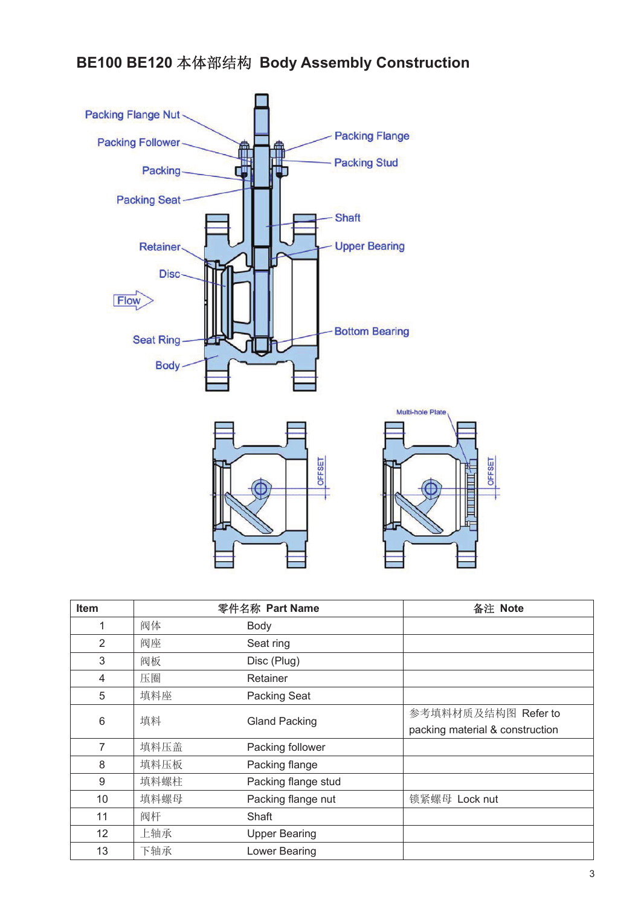# **BE100 BE120** ᵜփ䜘㔃ᶴ **Body Assembly Construction**



| Item              |      | 零件名称 Part Name       | 备注 Note                         |
|-------------------|------|----------------------|---------------------------------|
| $\mathbf 1$       | 阀体   | Body                 |                                 |
| 2                 | 阀座   | Seat ring            |                                 |
| 3                 | 阀板   | Disc (Plug)          |                                 |
| 4                 | 压圈   | Retainer             |                                 |
| 5                 | 填料座  | <b>Packing Seat</b>  |                                 |
| 6                 | 填料   | <b>Gland Packing</b> | 参考填料材质及结构图 Refer to             |
|                   |      |                      | packing material & construction |
| 7                 | 填料压盖 | Packing follower     |                                 |
| 8                 | 填料压板 | Packing flange       |                                 |
| 9                 | 填料螺柱 | Packing flange stud  |                                 |
| 10                | 填料螺母 | Packing flange nut   | 锁紧螺母 Lock nut                   |
| 11                | 阀杆   | Shaft                |                                 |
| $12 \overline{ }$ | 上轴承  | <b>Upper Bearing</b> |                                 |
| 13                | 下轴承  | Lower Bearing        |                                 |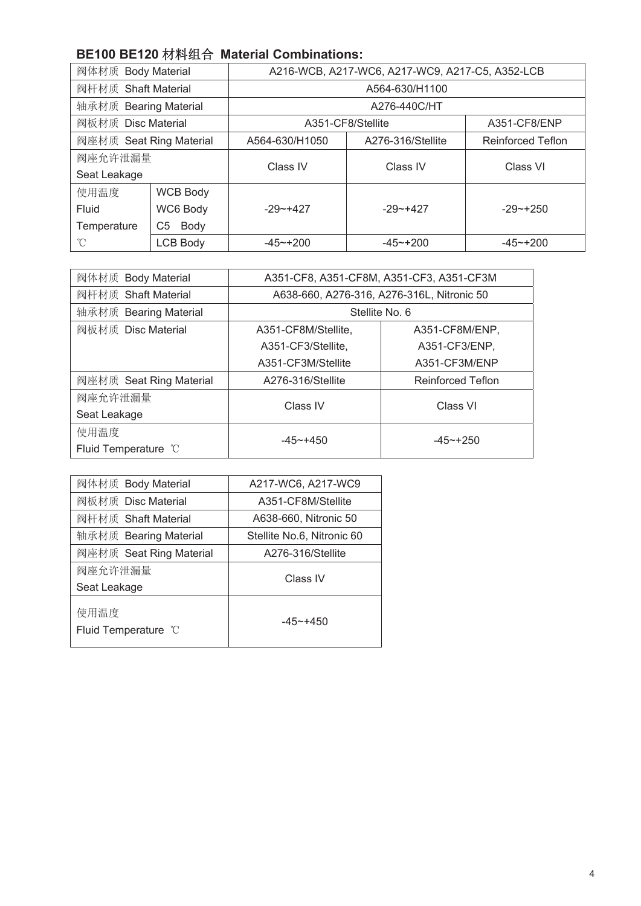#### **BE100 BE120 材料组合 Material Combinations:**

| 阀体材质 Body Material      |                 | A216-WCB, A217-WC6, A217-WC9, A217-C5, A352-LCB |                   |                          |  |  |  |
|-------------------------|-----------------|-------------------------------------------------|-------------------|--------------------------|--|--|--|
| 阀杆材质 Shaft Material     |                 | A564-630/H1100                                  |                   |                          |  |  |  |
| 轴承材质 Bearing Material   |                 | A276-440C/HT                                    |                   |                          |  |  |  |
| 阀板材质 Disc Material      |                 | A351-CF8/Stellite                               | A351-CF8/ENP      |                          |  |  |  |
| 阀座材质 Seat Ring Material |                 | A564-630/H1050                                  | A276-316/Stellite | <b>Reinforced Teflon</b> |  |  |  |
| 阀座允许泄漏量                 |                 | Class IV<br>Class IV                            |                   | Class VI                 |  |  |  |
| Seat Leakage            |                 |                                                 |                   |                          |  |  |  |
| 使用温度                    | <b>WCB Body</b> |                                                 |                   |                          |  |  |  |
| Fluid                   | WC6 Body        | $-29 - +427$                                    | $-29 - +427$      | $-29 - +250$             |  |  |  |
| Temperature             | Body<br>C5      |                                                 |                   |                          |  |  |  |
| °C                      | <b>LCB Body</b> | $-45 - +200$                                    | $-45 - +200$      | $-45 - +200$             |  |  |  |

| 阀体材质 Body Material      | A351-CF8, A351-CF8M, A351-CF3, A351-CF3M   |                          |  |  |  |  |
|-------------------------|--------------------------------------------|--------------------------|--|--|--|--|
| 阀杆材质 Shaft Material     | A638-660, A276-316, A276-316L, Nitronic 50 |                          |  |  |  |  |
| 轴承材质 Bearing Material   | Stellite No. 6                             |                          |  |  |  |  |
| 阀板材质 Disc Material      | A351-CF8M/Stellite,                        | A351-CF8M/ENP,           |  |  |  |  |
|                         | A351-CF3/Stellite,                         | A351-CF3/ENP,            |  |  |  |  |
|                         | A351-CF3M/Stellite                         | A351-CF3M/ENP            |  |  |  |  |
| 阀座材质 Seat Ring Material | A276-316/Stellite                          | <b>Reinforced Teflon</b> |  |  |  |  |
| 阀座允许泄漏量                 | Class IV                                   | Class VI                 |  |  |  |  |
| Seat Leakage            |                                            |                          |  |  |  |  |
| 使用温度                    | $-45 - +450$                               | $-45$ $-+250$            |  |  |  |  |
| Fluid Temperature °C    |                                            |                          |  |  |  |  |

| 阀体材质 Body Material           | A217-WC6, A217-WC9         |  |  |  |  |
|------------------------------|----------------------------|--|--|--|--|
| 阀板材质 Disc Material           | A351-CF8M/Stellite         |  |  |  |  |
| 阀杆材质 Shaft Material          | A638-660, Nitronic 50      |  |  |  |  |
| 轴承材质 Bearing Material        | Stellite No.6, Nitronic 60 |  |  |  |  |
| 阀座材质 Seat Ring Material      | A276-316/Stellite          |  |  |  |  |
| 阀座允许泄漏量                      | Class IV                   |  |  |  |  |
| Seat Leakage                 |                            |  |  |  |  |
| 使用温度<br>Fluid Temperature °C | $-45 - +450$               |  |  |  |  |